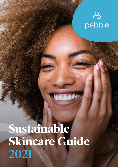## $\delta$ pebble

# **Sustainable Skincare Guide 2021**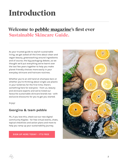## **Introduction**

## **Welcome to [pebble magazine](https://pebblemag.com/)'s first ever Sustainable Skincare Guide.**

As your trusted guide to stylish sustainable living, we get asked all the time about clean and vegan beauty, greenwashing around ingredients and of course, the big packaging debate...so we thought we'd put everything we've learnt over the last few years together to help you make planet friendly choices more easily in your everyday skincare and haircare routines.

Whether you're an old hand at shampoo bars or whether you're thinking about single use plastic in your toiletries for the first time, there's something here for everyone - from us, beauty and skincare experts and we've listed our favourite sustainable skincare brands too - with exclusive discounts for you to get you started.

Enjoy!

#### **Georgina & team pebble**

PS...if you love this, check out our new digital community Ripples - for free virtual events, chats, topical checklists and action plans and more to help you ramp up your sustainability journey.

**[SIGN UP HERE TODAY - IT'S FREE](https://pebble.mn.co/)**

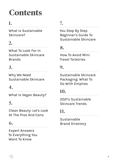## **Contents**

[What Is Sustainable](#page-3-0)  [Skincare?](#page-3-0)

## **2.**

[What To Look For In](#page-10-0)  [Sustainable Skincare](#page-10-0)  [Brands](#page-10-0)

## **3.**

[Why We Need](#page-12-0)  [Sustainable Skincare](#page-12-0)

### **4.**

[What Is Vegan Beauty?](#page-16-0)

## **5.**

Clean Beauty: Let's Look At The [Pros And Cons](#page-19-0)

### **6.**

[Expert Answers](#page-25-0)  [To Everything You](#page-25-0)  [Want To Know](#page-25-0)

## **1. 7.**

You [Step By Step](#page-30-0)  [Beginner's Guide](#page-30-0) To Sustainable Skincare

## **8.**

How To Avoid Mini Travel Toiletries

### **9.**

Sustainable Skincare Packaging: [What To](#page-37-0)  [Do With Empties](#page-37-0)

## **10.**

2021's [Sustainable](#page-41-0)  [Skincare Trends](#page-41-0)

### **11.**

Sustainable Brand Directory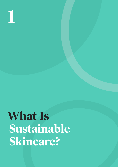<span id="page-3-0"></span>#EverydayActivism | **[pebblemag.com](http://www.pebblemag.com) 1**

## **What Is Sustainable Skincare?**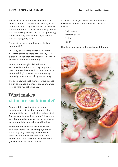The purpose of sustainable skincare is to choose products that meet our beauty needs without having a negative impact on people or the environment. It's about supporting brands that are making an effort to do the right thing from where they source their ingredients to the packaging they use.

But what makes a brand truly ethical and sustainable?

In reality, sustainable skincare is a little harder to define as there are so many terms a brand can use that are unregulated so they can mean just about anything.

Beauty brands might claim they are sustainable or ethical but they might not practice what they preach. Instead, the term 'sustainability' gets used as a marketing campaign which results in greenwashing.

The good news is that there are ways to spot a truly sustainable skincare brand and we're here to help you get clued up.

## **What makes skincare sustainable?**

Sustainability is a broad term so you could end up writing down a whole list of sustainability factors to test brands against. The problem is most brands won't tick every box. Sustainable skincare is a spectrum and each brand falls somewhere on that line.

Sustainability and ethics come down to personal choice too. For example, a brand might say they're cruelty free but their products contain beeswax making them non-vegan. It's up to you to decide whether you consider that factor ethical.

To make it easier, we've narrowed the factors down into four categories which we've listed below:

- Environment
- Animal welfare
- Ethics
- Health

Now let's break each of these down a bit more.

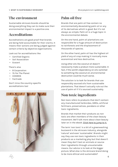#### **The environment**

Sustainable skincare brands should be doing everything they can to make sure their environmental impact is a positive one.

#### **Accreditations**

Accreditations are good proof that brands are being held accountable for their claims. It means their actions are being judged against certain criteria by objective organisations.

Look out for accreditations like

- Certified Organic
- Soil Association
- Ecocert

There's also

- B Corporation
- 1% For The Planet
- COSMOS
- Fairtrade

Don't miss the country-specific accreditations too!



### **Palm oil free**

Brands that are palm oil free contain no environmentally devastating palm oil or any of its derivatives which is good. But it's not always as simple. Palm oil is a huge topic in the environmental debate.

On the one hand, palm oil plantations are responsible for a huge amount of destruction to rainforests and the displacement of thousands of species.

On the other hand, palm oil has the highest oil yield of any oil crop making it ironically more economical and less destructive.

Using other oils like coconut oil doesn't necessarily make a product more sustainable. In fact, if the world's dependency on oils switched to something like coconut oil, environmental destruction could be much worse.

The solution is to look for brands that use responsibly sourced oils from sustainable plantations. That doesn't actually rule out the use of palm oil if it's sourced sustainably.

#### **Non toxic ingredients**

Non toxic refers to products that don't contain any manufactured herbicides, GMOs, artificial fertilisers, preservatives, parabens or other toxic ingredients.

Brands that market their products as non toxic are often members of the clean beauty movement. We'll talk more about clean beauty later on in the ebook. [Click here to jump to it.](#page-19-0)

The term 'non toxic' is a bit of a greenwashing buzzword in the skincare industry, alongside 'natural' and even 'sustainable'. Brands might say they use non toxic ingredients in their products as a marketing ploy but that doesn't mean they don't test on animals or source their ingredients through unsustainable means. Our advice is to look at the bigger picture. What else is the skincare brand doing to be more ethical and sustainable?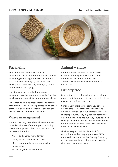<span id="page-6-0"></span>

#### **Packaging**

More and more skincare brands are considering the environmental impact of their packaging which is great news. The brands that do well on packaging are those that allow you to reuse existing packaging or use compostable packaging.

Look for skincare brands that use postconsumer recycled materials or packaging that can be easily recycled like aluminium or glass.

Other brands have developed recycling schemes for difficult recyclables like plastics which saves them from ending up in landfill or polluting the ocean. We'll dive more into this later.

#### **Waste management**

Brands that truly care about the environment consider all areas of their impact, including waste management. Their policies should be but aren't limited to:

- Water and energy management
- Being as zero waste as possible
- Using sustainable energy sources like renewables
- Office recycling programmes

#### **Animal welfare**

Animal welfare is a huge problem in the skincare industry. Many brands test on animals or use animal derivatives. Sustainable and ethical skincare brands should not.

#### **Cruelty free**

Brands that say their products are cruelty free means that they were not tested on animals in any part of their development.

Surprisingly, there's still some vagueness around this term. Brands that say they're cruelty free might still put animal derivatives in their products. They might not directly test on animals themselves but they could still use third-party organisations that do or even fund animal testing. Other brands won't even say either way - which is worse!

The best way around this is to look for accreditations like Leaping Bunny or PETA approved. Uses sources like Cruelty Free Kitty or check out our brand directory for brands that don't test on animals.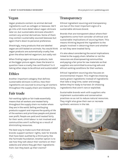#### **Vegan**

Vegan products contain no animal derived ingredients such as collagen or beeswax. We'll go into a bit more detail about vegan skincare later on, but sustainable skincare shouldn't contain any animal derivatives. Some of them may contain sustainably sourced beeswax but again that's down to personal preference.

Shockingly, many products that are labelled vegan are still tested on animals. You would think vegan products are automatically cruelty free given the ethos behind veganism, but sadly not!

When finding vegan skincare products, look at the bigger picture again. Does the brand in question have a cruelty free certification? Is it taking other steps to be ethical and sustainable?

#### **Ethics**

Another important category that defines sustainable skincare is ethics. How their ingredients are sourced to ensuring all workers throughout the supply chain are treated fairly.

#### **Fair trade**

Fair working rights or fair trade essentially means that all workers are treated fairly throughout the supply chain no matter where they are in the world. Selling and buying products support and improve the quality of life of the workers and prioritises people and planet over profit. People are paid and treated fairly for their work, child labour is not involved and communities aren't suffering as a result of diminishing resources.

The best way to make sure that skincare brands support workers' rights, look for brands that have been audited by a third party like the Fairtrade Foundation. Another option is to see how they talk about their workers on their website and where they get their ingredients from. Can they back up their claims?

#### **Transparency**

Ethical ingredient sourcing and transparency are two of the most important signs of a sustainable skincare brand.

Brands that are transparent about where their ingredients come from consider all ethical and sustainable implications of sourcing them. This means thinking beyond the ingredient to the people involved in obtaining them and whether or not they were treated fairly.

It's also about considering the social implications linked to the supply chain. Whether or not the resources are disempowering communities and paying a fair price for raw materials so that suppliers are committed to ensuring safe and ethical working conditions for their workers.

Ethical ingredient sourcing also focuses on environmental impact. This might be choosing easily grown ingredients instead of ingredients that take a long time, water and energy before they're ready to harvest. Or choosing ingredients that aren't rare or exploited.

Sustainable brands work with suppliers who implement sustainable and conservation practices so as not to reduce natural resources. They might also grow their own or recreate synthetic versions in the lab.

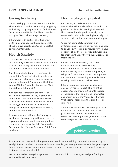#### **Giving to charity**

It's increasingly common to see sustainable skincare brands with a dedicated giving policy. Typical ways of giving to look out for include B Corporations and 1% For The Planet members who give 1% of their earnings to charity.

Others work with partner charities or set up their own for causes they're passionate about to drive social change and impactful environmental work.

#### **Health & safety**

Of course, a skincare brand can tick all the sustainability boxes but it still needs to adhere to health and safety regulations to make sure the products are safe to put on our skin.

The skincare industry for the large part is unregulated. What ingredients are deemed safe is up for debate and depends on where you are in the world. For example, the EU has banned 1300 ingredients whereas the FDA in the US has only banned 11.

Just because ingredients are natural or botanical doesn't mean they're safe. Plenty of botanical ingredients have been known to cause skin irritation and allergies. Some of the biggest offenders are cucumber, ginkgo, lavender oil, peppermint, rosemary, chamomile and tea tree oil.

To make sure your skincare isn't doing you any harm, it's always a good idea to read the ingredients list and patch test new products. If you're unsure, apps like Skin Deep by the Environmental Working Group and Think Dirty can help.

#### **Dermatologically tested**

Another way to make sure that your sustainable skincare is safe is to check if the product has been dermatologically tested. This means that the product was by or in consultation with a dermatologist for signs of severe skin irritation, reactions and allergies.

You're not completely safe from skin irritations and reactions so you may also need to do your own testing, particularly if you have sensitive skin. If you're particularly worried, go for products that say they're hypoallergenic or fragrance free.

It's also about considering the social implications linked to the supply chain. Whether or not the resources are disempowering communities and paying a fair price for raw materials so that suppliers are committed to ensuring safe and ethical working conditions for their workers.

Ethical ingredient sourcing also focuses on environmental impact. This might be choosing easily grown ingredients instead of ingredients that take a long time, water and energy before they're ready to harvest. Or choosing ingredients that aren't rare or exploited.

Sustainable brands work with suppliers who implement sustainable and conservation practices so as not to reduce natural resources. They might also grow their own or recreate synthetic versions in the lab.

**pebble's Verdict**

As you can see, there's a lot that goes into a brand's sustainability claim and not everything is straightforward or clear cut. You also have to consider your own preferences. Whether you are you happy to have beeswax or sustainably sourced palm oil in your skincare if it comes in glass for instance, rather than plastic?

We've summarised everything you need to know in a quick list to help you navigate finding a sustainable skincare brand.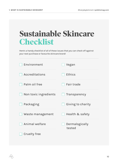| <b>Sustainable Skincare</b><br><b>Checklist</b>                                                                                   |                          |  |
|-----------------------------------------------------------------------------------------------------------------------------------|--------------------------|--|
| Here's a handy checklist of all of these issues that you can check off against<br>your next purchase or favourite skincare brand! |                          |  |
| Environment                                                                                                                       | Vegan                    |  |
| Accreditations                                                                                                                    | Ethics                   |  |
| Palm oil free                                                                                                                     | Fair trade               |  |
| Non toxic ingredients                                                                                                             | Transparency             |  |
| Packaging                                                                                                                         | Giving to charity        |  |
| Waste management                                                                                                                  | Health & safety          |  |
| Animal welfare                                                                                                                    | Dermalogically<br>tested |  |
| <b>Cruelty free</b>                                                                                                               |                          |  |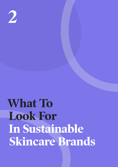<span id="page-10-0"></span>**2**

# **What To Look For In Sustainable Skincare Brands**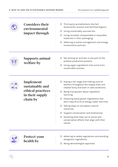$\subset$ 

| <b>Considers their</b><br>environmental<br><b>impact through</b> | Third party accreditations like Soil<br>□<br>Association, Ecocert and Certified Organic. |                                                                                                    |
|------------------------------------------------------------------|------------------------------------------------------------------------------------------|----------------------------------------------------------------------------------------------------|
|                                                                  | Using sustainably sourced oils.<br>□                                                     |                                                                                                    |
|                                                                  | Using reusable, compostable or recyclable<br>□<br>materials in their packaging.          |                                                                                                    |
|                                                                  |                                                                                          | Adhering to waste management and energy<br>□<br>conservation policies.                             |
| <b>Supports animal</b><br>welfare by                             |                                                                                          | Not testing on animals in any part of the<br>□<br>product production process.                      |
|                                                                  | Using vegan ingredients that come from<br>□<br>sustainable sources.                      |                                                                                                    |
|                                                                  | Implement                                                                                | Paying a fair wage and making sure all<br>ப                                                        |
| in their supply<br>chain by                                      | sustainable and                                                                          | workers throughout the supply chain are<br>treated fairly and work in safe conditions.             |
|                                                                  | ethical practices                                                                        | Being transparent about ingredient<br>□<br>sourcing.                                               |
|                                                                  |                                                                                          | Choosing easily grown ingredients that<br>$\Box$<br>don't require a lot of energy, water and time. |
|                                                                  |                                                                                          | Taking steps to not exploit natural<br>resources.                                                  |
|                                                                  |                                                                                          | Support conservation and biodiversity.<br>$\Box$                                                   |
|                                                                  |                                                                                          | Donating what they can to social and<br>□<br>conservation efforts that align with their<br>values. |
|                                                                  | <b>Protect your</b>                                                                      | Adhering to safety regulations and avoiding                                                        |
| health by                                                        |                                                                                          | dangerous ingredients.                                                                             |
|                                                                  |                                                                                          | Being dermatologist approved.<br>□                                                                 |
|                                                                  |                                                                                          |                                                                                                    |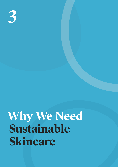<span id="page-12-0"></span>#EverydayActivism | **[pebblemag.com](http://www.pebblemag.com) 3**

## **Why We Need Sustainable Skincare**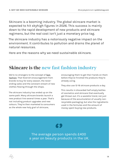Skincare is a booming industry. The global skincare market is expected to hit skyhigh figures in 2026. This success is mainly down to the rapid development of new products and skincare regimens, but the real cost isn't just a monetary price tag.

The skincare industry has a notoriously negative impact on the environment. It contributes to pollution and drains the planet of natural resources.

Here are the reasons why we need sustainable skincare.

## **Skincare is the new fast fashion industry**

We're no strangers to the concept of fast [fashion](https://pebblemag.com/magazine/living/whats-wrong-with-fast-fashion). That feverish encouragement from brands to buy for every season, the neverending sales and the constant stream of new clothes flowing through the shops.

The skincare industry has ended up on the same path. Many skincare brands launch a new product line several times a year. That's not including product upgrades and new colours. They're then marketed to consumers as the whole new holy grail of skincare,

encouraging them to get their hands on them before they've finished the products they're already using.

They also use 12-16 skincare products a day.

This results in discarded half empty bottles of cosmetics and skincare that eventually get thrown out. It's a wasteful trend, not just because of the accumulation of usually nonrecyclable packaging, but also the ingredients used in the formulas and the amount of money spent buying new products.

## K.

The average person spends £400 a year on beauty products in the UK.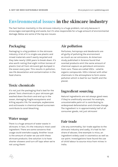## **Environmental issues in the skincare industry**

The fast fashion mentality in the skincare industry is a huge problem, not only because it encourages overspending and waste, but it's also responsible for a huge amount of environmental damage. Below are some of the top eco issues:

#### **Packaging**

Packaging is a big problem in the skincare industry. A lot of it is single-use plastic and mixed materials aren't easily recycled and they take nearly 1,000 years to break down. It's also worth noting that eight million tonnes of plastic (not all from skincare) get dumped in the ocean every year. This results in pollution, sea life devastation and contamination in the food chains.

#### **Toxic chemicals**

It's not just the packaging that's bad for the planet. Toxic chemicals in your skincare get washed down the drain and end up in the ocean, damaging fragile ecosystems and killing aquatic life. For example, oxybenzone and octinoxate in chemical based sunscreen contribute to coral bleaching.

#### **Water usage**

There is a huge amount of water waste in skincare. In fact, it's the industry's most used ingredient. There are some concerns that usage could overtake supply. Another issue is the amount of water we use with these skincare products. One solution is to have shorter showers and turn off taps when we're not using them!

#### **Air pollution**

Perfumes, hairsprays and deodorants are all guilty of polluting the environment as much as car emissions. An American study published in Science found that scented products emit the same amount of chemical vapours as petroleum emissions from cars. These are called VOCs - volatile organic compounds. VOCs interact with other chemicals in the atmosphere to form ozone pollution which is bad for our health and the planet.

#### **Ingredient sourcing**

Natural ingredients are not always good news if they're unethically sourced. For example, unsustainable palm oil is contributing to widespread deforestation and climate change. The ingredient is in approximately half of all consumer goods, not just skincare!

#### **Fair trade**

Like any commodity, fair trade applies to the skincare industry and sadly, it's had its fair share of abuses. One example is mica, an ingredient widely used in cosmetics as well as car paint. Investigations have found the use of child labour to source mica from mines in India.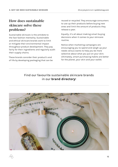#### **How does sustainable skincare solve these problems?**

Sustainable skincare is the antidote to the fast fashion mentality. Sustainable and ethical skincare brands work to limit or mitigate their environmental impact throughout product development. They pay fairly for their ingredients and regularly audit their supply chains.

These brands consider their product's end of life by developing packaging that can be reused or recycled. They encourage consumers to use up their products before buying new ones and limit the amount of products they release a year.

Equally, it's all about making smart buying decisions when it comes to your skincare routine.

Notice when marketing campaigns are encouraging you to spend and weigh up your needs versus wants to help you be more selective about what you put on your skin. Ultimately, smart purchasing habits are better for the planet, your skin and your wallet.

#### [Find our favourite sustainable skincare brands](#page-44-0)  in our **[brand directory](#page-44-0)**!

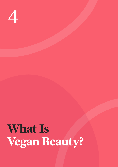<span id="page-16-0"></span>**4**

# **What Is Vegan Beauty?**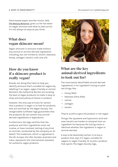Plant-based expert Jennifer Hirsch, AKA, [The Beauty Botanist,](http://www.beautybotanist.com/) gives us the low down on vegan skincare and what to look out for. It's not always as easy as you think.

#### **What does vegan skincare mean?**

Vegan skincare is skincare made without any animal or animal-derived ingredients including, but not limited to, lanolin, beeswax, honey, collagen, keratin, milk and silk.

#### **How do you know if a skincare product is really vegan?**

Brands are doing their best to help you identify skincare that's suitable for vegans by labelling it as vegan, vegan-friendly or similar. Retailers like Holland & Barrett are curating the best of vegan products to make it easy to shop and have plenty of choice in product.

However, the only way to know for certain that a product is vegan is to look for products that are certified by The Vegan Society. The recognisable sunflower logo guarantees that the products do not contain any animalderived ingredients or byproducts.

Furthermore, the logo certifies that the products and their ingredients must not involve, or have involved, testing of any kind on animals, conducted by the company on its behalf. The trademark, which is registered in the UK, Europe, the USA, Canada, Australia and India, represents the international standard for authentic vegan products.



#### **What are the key animal-derived ingredients to look out for?**

The most easily identifiable animal-derived ingredients in an ingredient listing on pack are things like:

- honey (Mel)
- beeswax (Cera Alba)
- retinol
- collagen
- lanolin

They're surefire signs the product is not vegan.

Things like squalane and hyaluronic acid and even keratin are harder to interpret from an ingredient list because the listing name is identical whether the ingredient is vegan or animal-derived.

A way to be absolutely certain is to buy a product that says it's vegan, suitable for vegans or vegan friendly. Or to pick a product that sports The Vegan Society logo..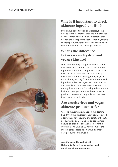

#### **Why is it important to check skincare ingredient lists?**

If you have sensitivities or allergies, being able to identify whether they are in a product or not is important. It's also important that brands are transparent about what is (or isn't) in their products. It facilitates your choice as a consumer and for me that's paramount.

#### **What's the difference between cruelty-free and vegan skincare?**

This is not entirely straightforward. Crueltyfree means that neither the product nor the ingredients nor their component parts have been tested on animals (look for Cruelty Free International's Leaping Bunny logo or PETA's bunny ear logo). Some animal-derived ingredients like bee ingredients and lanolin are considered harmfree, so can be found in cruelty-free products. Those ingredients won't be found in vegan products, however vegan products can contain ingredients that have been tested on animals.

#### **Are cruelty-free and vegan skincare products safe?**

Yes. The movement against animal testing has driven the development of sophisticated alternatives for ensuring the safety of beauty products. It's something we as consumers should be proud of because we drove this evolution. The UK and EU have some of the most rigorous legislation around personal care products in the world.

**Jennifer recently worked with Holland & Barrett to select her best plant-based beauty swaps.** 

19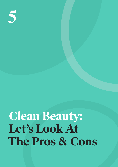<span id="page-19-0"></span>#EverydayActivism | **[pebblemag.com](http://www.pebblemag.com) 5**

## **Clean Beauty: Let's Look At The Pros & Cons**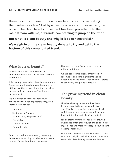These days it's not uncommon to see beauty brands marketing themselves as 'clean'. Led by a rise in conscious consumerism, the once niche clean beauty movement has been propelled into the mainstream with major brands now starting to jump on the trend.

#### **But what is clean beauty and why is it so controversial?**

**We weigh in on the clean beauty debate to try and get to the bottom of this complicated trend.**

#### **What is clean beauty?**

In a nutshell, clean beauty refers to skincare products that are 'clean of harmful ingredients'.

This usually means that clean beauty brands favour natural ingredients on the whole but still use synthetic ingredients that have been deemed safe for consumers' health and the environment.

It's a rejection of conventional beauty brands and their use of possibly dangerous ingredients such as:

- Parabens
- Synthetic fragrances
- Sodium lauryl sulphate (SLS)
- Phthalates
- Artificial colours
- Formaldehyde

From the outside, clean beauty can easily be seen as something positive as it shows a concern for our health and the planet.

However, the term 'clean beauty' has no official definition.

What's considered 'clean' or 'dirty' when it comes to skincare ingredients varies depending on the brand. That's where it starts to get murky and prone to misuse.

#### **The growing trend in clean beauty**

The clean beauty movement has risen in tandem with the wellness industry, specifically 'clean-eating' and detoxification which saw an increased demand in stripped back, minimalist and 'clean' ingredients.

It also stems from the consumers' growing awareness of tougher regulations on cosmetic ingredients and more knowledge about irritant causing ingredients.

Now more than ever, consumers want to know what's actually in their skincare and why. As a result, the clean beauty movement boomed.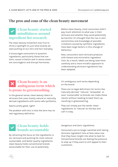#### **The pros and cons of the clean beauty movement**

#### **Clean beauty started mindfulness around ingredient list research**

The clean beauty movement was first to shine a spotlight on just what exactly we were putting on our skin and hair everyday.

It encourages consumers to question ingredients, particularly those that are toxic, cause irritation and in worse cases are carcinogenic and disrupt hormones.

Before clean beauty, most consumers didn't pay much attention to what was in their skincare and whether they could potentially be harmful. It's thought that the rise in skin sensitivities and knowledge of possible irritations caused by synthetic ingredients have been large factors in this change of behaviour.

Now, consumers want skincare products with honest and minimalist ingredient lists. As a result, labels are being read more carefully and a more mindful approach to understanding skincare ingredients has been adopted.

#### **Clean beauty is an ambiguous term which is prone to greenwashing**

In the general sense, clean beauty refers to skincare that uses mostly natural or naturally derived ingredients with some safe synthetics.

Seems pretty good, right?

The problem with this is that the term has no real regulatory definition.

It's ambiguous and varies depending on the brand.

There are no legal definitions for terms like 'naturally derived,' 'natural,' 'renewable' or even 'sustainable' so brands can make these claims without needing to back them up, resulting in greenwashing.

They can simply put the words 'clean ingredients' or 'natural' on the box and call it a day.

#### **Clean beauty holds brands accountable**

By reframing the focus on the ingredients in our skincare and pushing for more natural, sustainable, and better quality ingredients, clean beauty holds conventional brands accountable for their use of potentially

dangerous and toxic ingredients.

Consumers are no longer satisfied with taking skincare ingredient lists at face value now that they have insight into what to look for. Conventional brands are feeling the pressure to step up if they want to still appeal to their customers.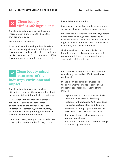#### **Clean beauty vilifies safe ingredients**

The clean beauty movement vilifies safe ingredients in skincare on the basis that they are chemicals.

Everything is a chemical.

To top it off, whether an ingredient is safe or not isn't so straightforward. Defining toxic ingredients depends on where in the world you are. For example, the EU has banned over 1300 ingredients from cosmetics whereas the US

has only banned around 30.

Clean beauty advocates tend to be concerned with synthetic chemicals and preservatives.

However, the alternatives are not always better. Some brands use high concentrations of essential oils and denatured alcohol as well as highly irritating ingredients that increase skin sensitivity and even skin damage.

The bottom line is that naturally derived ingredients aren't always best for your skin. Conventional skincare brands tend to play it safer with their ingredients.

#### **Clean beauty raised awareness of the industry's environmental impact**

The clean beauty movement has been attributed to starting the conversation about environmental sustainability in the industry.

Before it took off, not many conventional brands were talking about the impact of packaging on the environment or the importance of ethical ingredient sourcing, partnering with non-profit organisations or tackling environmental problems.

Once clean beauty emerged, we started to see more options on the market for recyclable

and reusable packaging, alternative plastic, eco-friendly inks and certified sustainable cardboard.

In fact, clean beauty raises awareness of the environmental impact of some of the industry's top ingredients. Some offenders include:

- Oxybenzone and octinoxate chemicals that contribute to coral bleaching
- Triclosan antibacterial agent that's toxic to aquatic bacteria, algae and dolphins
- Parabens a family of preservatives that have been known to disrupt hormones
- Siloxanes known to bioaccumulate in aquatic food chains
- Plastic microbeads microplastics that get consumed by marine life

23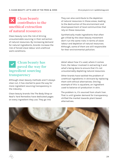#### **Clean beauty contributes to the unethical extraction of natural resources**

Clean beauty runs the risk of driving unsustainable sourcing in their extraction of natural resources. By increasing demand for natural ingredients, brands increase the risk of forced slave labour and unethical work conditions.

They can also contribute to the depletion of natural resources in those areas, leading to the destruction of the environment and disempowerment of local communities that rely on these resources.

Synthetically made ingredients that often get villied by the clean beauty movement don't run the same risks in terms of slave labour and depletion of natural resources. Although, some of them are still responsible for their environmental pollution.

#### **Clean beauty has paved the way for ingredient sourcing transparency**

Although clean beauty methods aren't always clear cut, it has started to pave the way for more ingredient sourcing transparency in the industry.

Clean beauty brands like The Body Shop or Neal's Yard Remedies have dedicated pages on every ingredient they use. They go into

detail about how it's used, where it comes from, the labour involved in extracting it and what's being done to ensure that it's not unsustainably depleting natural resources.

Other brands have tackled the problem of unethical ingredients in skincare by replacing them with ethical alternatives. One big example of this is squalane, an ingredient used to balance oil production in skin.

The problem is, it's sourced from shark liver. That is until greater demand for transparency shifted the market towards plant based alternatives.

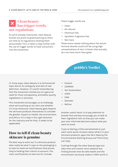#### **Clean beauty has trigger words, not regulations**

As we've already mentioned, clean beauty brands are prone to greenwashing as there are little to no regulations holding them accountable. This is taken a step further with the use of trigger words to hook consumers into the movement.

These trigger words are:

- Clean
- All-natural
- Chemical free
- Synthetic fragrance free
- Non toxic

These terms reveal nothing about the actual formula. Brands could still be using high concentrations of skin irritants that actually do a lot more harm than good.

#### **pebble's Verdict**

In many ways, clean beauty is a controversial topic due to its ambiguity and lack of real definition. However, it's worth remembering that the movement started out of a genuine need for more transparency and better quality ingredients in skincare.

This movement encourages us to challenge what we're putting on our skin and whether it's truly necessary. Clean beauty goes beyond the skincare products themselves to consider the greater impact on health, the environment, and ethics. It's a step in the right direction for the industry and for that, it needs to be applauded.

#### **How to tell if clean beauty skincare is genuine**

The best way to work out if a skincare product does really do what it says on the packaging is to look for external certifications that proves they're holding their claims to account. The main certifications to look out for include:

- Ecocert
- COSMOS
- Soil Association
- USDA
- EWG
- Demeter
- NaTrue

Another useful tactic is to pay attention to brands that actively encourage you to look at their ingredient lists so that you can make your own informed decisions about what you want to avoid.

If you're feeling a little overwhelmed or just want some quick answers about what's in your skincare products, apps like Skin Deep by the Environmental Working Group and Think Dirty can help.

Cutting through the clean beauty hype can take time and involve more research but finding brands that do take health and the environment seriously makes it 100% worth it.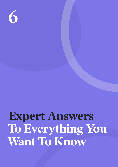<span id="page-25-0"></span>#EverydayActivism | **[pebblemag.com](http://www.pebblemag.com) 6**

## **Expert Answers To Everything You Want To Know**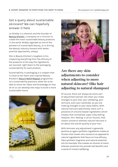#### Got a query about sustainable skincare? We can hopefully answer it here

Jo Chidley is a chemist and the founder of [Beauty Kitchen](https://beautykitchen.co.uk/), a company on a mission to create the most sustainable beauty products in the world. Widely regarded as one of the pioneers of sustainable beauty, Jo is driving the beauty industry forward with better practise approaches, always.

She is Beauty Kitchen's toughest critic, inspecting everything from the efficacy of the products to the way the ingredients are sourced, right down to the packaging sustainability for each product.

Sustainability in packaging is a subject that is close to her heart and inspired Beauty Kitchen's Return•Refill•[Repeat](https://returnrefillrepeat.com/) programme. Jo's sustainability passions allow her to be able to share her ideas and knowledge on how all of us can develop new ways to build a more sustainable future.





#### **Are there any skin adjustments to consider when adjusting to more natural skincare? (like hair adjusting to natural shampoo)**

Of course, there will always be some sort of adjustment period, like when you make changes to your diet, your wellbeing, your skincare, even your wardrobe, as you are making changes to your daily habits. With natural haircare specifically, there isn't a presence of silicone-based ingredients which creates that immediate super silky feeling. However, this 'feeling' is all an illusion, that masks concerns whereas natural haircare is all about the overall quality of your hair.

With skincare, any adjustment is generally positive as again synthetic ingredients create an illusion that masks skin concerns as opposed to natural ingredients that focus on true efficacy. Take synthetic fragrance and natural essential oils for example. One creates an illusion of scent, whereas essential oils provide real benefits and a sense of instant wellbeing.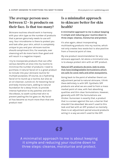#### **The average person uses between 12 - 16 products on their face. Is that too many?**

Skincare routines should work in harmony with your skin type so the number of products that a person genuinely needs to use will vary. Your microbiome is there to protect you and look after your skin, which is completely unique to you and your skincare routine should compliment this. For example, over cleansing will do more harm than good and will result in a negative impact.

I try to incorporate products that can offer various benefits at once into my routine to minimise the number of products I need to purchase. A natural facial oil is a great product to include into your skincare routine for multiple purposes. Of course, as a hydrating facial oil to round up a routine, but also as an oil cleanser, cuticle oil, for boosting facial and body moisturisers, adding to natural foundation for a dewy finish, to provide intense hydration to dry patches and skin like elbows, to sooth sunburned skin to prevent peeling the list goes on. My facial oil has become so much more than that one product now!

#### **Is a minimalist approach to skincare better for skin health?**

**A minimalist approach to me is about keeping it simple and reducing your routine down to three steps: cleanse, moisturise and protect.** 

It's also again, about incorporating multitasking products into my routine, which not only creates less waste but is also positive from a financial point of view.

My one product recommendation for any skincare approach, let alone a minimalist one, is to always protect skin with an SPF product.

#### [Natural SPF products do exist, look to ones](#page-34-0)  [that have biodegradable formulations which](#page-34-0)  [are safe for coral reefs and other ecosystems.](#page-34-0)

Going back to the point of whether there's an adjustment period to natural skincare, I think there definitely is with SPF. Synthetic SPF products are what we are used to from a mass market point of view, with fast absorbing qualities and thin clear formulations. However, generally with SPF the formulations are thicker. Sunscreen is exactly that, a product that is a screen against the sun, a barrier that shouldn't be absorbed. We aren't used to this look and feel with an SPF product so mentally there is an adjustment period around products acting in a way we aren't used to like SPF.

## 69

A minimalist approach to me is about keeping it simple and reducing your routine down to three steps: cleanse, moisturise and protect.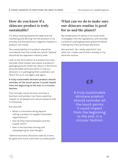#### **How do you know if a skincare product is truly sustainable?**

It's about looking beyond the label and the marketing and delving into the product in its entirety and the positive or negative impacts a product can create.

The sustainability of a product should be considered from the inside out, which I believe should be the approach industry wide.

Look to the formulation of a product but also consider what impact and waste a product's packaging could create too. Reuse is the future of sustainable skincare which is why our skincare is in packaging that customers can return for us to use again and again.

**A truly sustainable skincare product should consider all the touch points it could impact from the beginning to the end, in a circular fashion.** 

This includes social fairness and how a business and product can have a positive impact on all people and natural systems that it influences.

Ask yourself:

- What is a business doing beyond selling a product to support charitable organisations?
- How do they treat employees and the supply chain?
- How is the business driving and campaigning for real change?

I believe business should be used as a force for good and much more than to create profit.

#### **What can we do to make sure our skincare routine is good for us and the planet?**

My simple piece of advice is to reuse more, investigate into the ingredients, and consider a product's packaging waste potential before making any more purchase decisions.

Ask yourself, 'do I really need this?' and what can I make use of that's already in my skincare routine.

## KS.

A truly sustainable skincare product should consider all the touch points it could impact from the beginning to the end, in a circular fashion.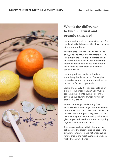

#### **What's the difference between natural and organic skincare?**

Natural and organic are words that are often used collectively however they have two very different definitions.

They are also terms that don't have a lot of regulations around them unfortunately. Put simply, the term organic refers to how an ingredient is farmed. Organic farming methods don't use the likes of synthetic fertilisers and herbicides and consider social fairness.

Natural products can be defined as something that is extracted from a plant, mineral or animal by-product but does not have to be farmed organically.

Looking to Beauty Kitchen products as an example, our Organic Vegan Body Wash contains ingredients such as coconut, olive and sunflower oil which have been organically grown.

Whereas our vegan and cruelty free Seahorse Plankton+ range contains a blend of marine extracts that are naturally derived however are not organically grown. This is because we grow the marine ingredients in giant algae baths rather than take anything organic direct from the ocean.

This process releases Co2 which we then sell back to the electric grid as part of the circular economy. This is not organic, but for me this is the most sustainable way to make these ingredients.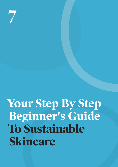<span id="page-30-0"></span>#EverydayActivism | **[pebblemag.com](http://www.pebblemag.com) 7**

# **Your Step By Step Beginner's Guide To Sustainable Skincare**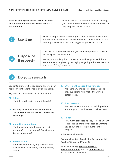**Want to make your skincare routine more sustainable but not sure where to start? We can help.**

Read on to find a beginner's guide to making your skincare routine more earth friendly with easy steps to get you started.

|             | Use it up                        | The first step towards switching to a more sustainable skincare<br>routine is to use what you have already. You don't need to go out<br>and buy a whole new skincare range straightaway, if at all!                                                            |
|-------------|----------------------------------|----------------------------------------------------------------------------------------------------------------------------------------------------------------------------------------------------------------------------------------------------------------|
| $\boxed{2}$ | <b>Dispose of</b><br>it properly | Once you've reached the end of your skincare products, recycle<br>or repurpose the packaging.<br>We've got a whole guide on what to do with empties and there<br>are some amazing beauty packaging recycling schemes to make<br>the most of. They're free too. |

#### **Do your research**

Look into skincare brands carefully so you can feel confident that they're truly sustainable.

Key areas of research to focus on include:

□ **Values**

What drives them to do what they do?

□ Are they concerned about **skin health**, the **environment** and **ethical ingredient sourcing**?

#### □ **Marketing campaigns**

What messaging do they use for their products? Is it convincing? Does it seem like greenwashing?

#### □ **Accreditations**

Are they accredited by any associations such as Soil Association, Leaping Bunny, NaTrue?

□ **Where do they spend their money**  Are there any charities or organisations they support to help make the world a better place?

#### □ **Transparency**

Are they transparent about their ingredient sourcing and how they treat their workers?

□ **Range** 

How many products do they release a year? Is it a lot and are they focused on wanting you to buy the latest products in the range?

A little overwhelmed?

Try apps like Skin Deep by the Environmental Working Group and Think Dirty.

You can also use pebble's skincare [recommendations](https://pebblemag.com/organic-skincare) and the [brand directory](#page-44-0) at the back of this ebook.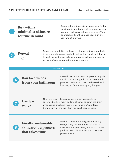| Buy with a          |
|---------------------|
| minimalist skincare |
| routine in mind     |

Sustainable skincare is all about using a few good quality products that go a long way, so you don't get overwhelmed or overbuy. This approach will do the planet, your skin and your wallet a favour.

**Repeat step 1**

Resist the temptation to discard half used skincare products in favour of shiny new products unless they don't work for you. Repeat the next steps in time and you're well on your way to perfecting your sustainable skincare routine!

#### **BONUS TIPS**



**Ban face wipes from your bathroom**

Instead, use reusable makeup remover pads, muslin cloths or organic cotton towels. All you need to do is put them in the wash and it saves you from throwing anything out!

**Use less water**

This may seem like an obvious one but you would be surprised at how many gallons of water go down the drain when you're brushing your teeth or washing your face. Simply turn off the tap when you don't need it. Easy.



**Finally, sustainable skincare is a process that takes time**

You don't need to hit the ground running straightaway. It's far more impactful to have a million people buy one less skincare product than it is for a thousand people to go zero waste.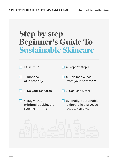## **Step by step Beginner's Guide To Sustainable Skincare**

| 1. Use it up                                            | 5. Repeat step 1                                                    |
|---------------------------------------------------------|---------------------------------------------------------------------|
| 2. Dispose<br>of it properly                            | 6. Ban face wipes<br>from your bathroom                             |
| 3. Do your research                                     | 7. Use less water                                                   |
| 4. Buy with a<br>minimalist skincare<br>routine in mind | 8. Finally, sustainable<br>skincare is a process<br>that takes time |
|                                                         |                                                                     |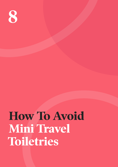<span id="page-34-0"></span>**8**

## **How To Avoid Mini Travel Toiletries**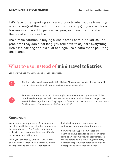Let's face it, transporting skincare products when you're travelling is a challenge at the best of times. If you're only going abroad for a few weeks and want to pack a carry-on, you have to contend with the liquid allowances too.

The simple solution is buying a whole stack of mini toiletries. The problem? They don't last long, you still have to squeeze everything into a ziplock bag and it's a lot of single use plastic that's polluting the planet.

## **What to use instead of mini travel tolietries**

You have two eco-friendly options for your toiletries.



The first is to invest in reusable 100ml tubes. All you need to do is fill them up with the full-sized versions of your favourite skincare essentials.



Another solution is to go solid. Investing in beauty bars means you can avoid the liquid hassle altogether. Solid bars are more concentrated so they last longer than even full sized liquid bottles. They're plastic free and zero waste which is a double win for the planet. We recommend [KinKind](#page-45-0) and [KIND2.](#page-47-0)

#### **Sunscreen**

We all know the importance of sunscreen for our skin health but most standard sunscreens have a dirty secret. They're damaging coral reefs with their ingredient lists - specifically, oxybenzone and octinoxate.

Every year between 6,000 and 14,000 tonnes of sunscreen is washed off swimmers, divers, beachgoers and snorkelers. That doesn't

include the amount that enters the waterways through wastewater systems.

So what's the big problem? These two chemicals have been found to bleach coral reefs at an extremely low concentration. This means corals have a reduced growth rate, decreased reproduction rates and a higher susceptibility to disease and death.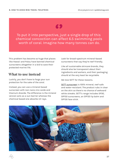## 69

To put it into perspective, just a single drop of this chemical concoction can affect 6.5 swimming pools worth of coral. Imagine how many tonnes can do.

This problem has become so huge that places like Hawaii and Palau have banned chemical sunscreens altogether in a bid to save their protected marine life.

#### **What to use instead**

Luckily, you don't have to forgo your sun protection for the sake of the coral.

Instead, you can use a mineral-based sunscreen with non-nano zinc oxide and titanium dioxide. The difference is the mineral version acts as a sun barrier whereas the chemical based one absorbs UV rays.

Look for broad-spectrum mineral-based sunscreens that say they're reef-friendly.

Like all sustainable skincare brands, they should also be transparent about their ingredients and workers, and their packaging should at the very least be recyclable.

We love SFTT for these reasons.

[SETT sunscreen](https://settsurf.com/) is 100% mineral, reef-safe and water-resistant. The product rubs in clear on the skin so there's no chance of awkward white streaks. SETT's range includes SP30, SPF50 sunscreens, an SPF20 lip balm and SPF30 face stick.

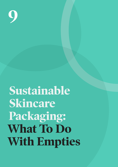<span id="page-37-0"></span>**9**

# **Sustainable Skincare Packaging: What To Do With Empties**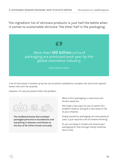The ingredient list of skincare products is just half the battle when it comes to sustainable skincare. The other half is the packaging.



A lot of that waste is bulked up by the use of plastic cellophane, complex lids and multi-layered boxes that can't be recycled.

However, it's not just plastic that's the problem.



**The cardboard boxes that envelope packaged perfumes to foundations and everything in between contributes to the loss of 18 million forests annually.** 

Most of this packaging is used once and thrown away too.

We've got a few ways for you to tackle this problem head on and give a new lease of life to your empties.

Empty cosmetics packaging can have plenty of uses, it just requires a bit of creative thinking.

Or you can keep it simple and recycle your packaging for free through handy schemes. Here's how.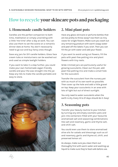## **How to recycle your skincare pots and packaging**

#### **1. Homemade candle holders**

Candles are the perfect companion to bath time, meditation or simply unwinding with a little 'me-time' after a day at work. You can also use them to set the scene on a romantic dinner date at home. You don't necessarily need to go out and buy fancy ones though.

Save any jars for DIY candle holders. Glass face cream tubs or moisturisers can be washed out and used as simple tealight holders.

If you want to take it a step further, you could make your own homemade vegan-friendly candle and pour the wax straight into the jar. Keep any lids to make the candle portable and easy to store.



#### **2. Mini plant pots**

Have any glass skincare or perfume bottles that are too pretty to throw away? Use them as tiny vases for single flowers. Make sure you wash out any remaining product with warm soapy water and peel off the labels if you wish. Then you can fill the jar with water and add your flower.

If you want to avoid using cut flowers, fill the pots with peat-free potting mix and plant flowers with tiny roots.

Wide-rimmed jars are particularly useful for growing succulents. Clean out the pot, add peat-free potting mix and make a small hole for the succulent.

Transfer the succulent from the nursery pot with as much of its own earth as possible. Then cover up the hole and add a little gravel on top. Keep your succulents in an area with lots of light but out of direct sunlight.

You only need to water succulents when the earth is dry. Every 14 to 21 days should do it. Easy!

#### **3. Seasoning pots**

Transfer your beauty routine to your kitchen by turning any old empty cosmetic pots and jars into containers filled with your favourite aromatised salt and seasoning combinations like salt and rosemary, garlic and thyme salt, and chilli salt.

You could even use them to store aromatised olive oils for salads and dressings such as oil and rosemary, garlic and thyme oil, chilli, and preserved lemon oil.

As always, make sure you clean them out thoroughly first with warm water and washing up liquid to make sure they're food safe before use.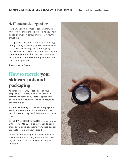#### **4. Homemade organisers**

Have any used up compact containers with a mirror? Give them the job of keeping your hair bands or jewellery safe, particularly if you're travelling.

Old lip balm containers are handy for storing bobby pins. Eyeshadow palettes can be turned into small DIY sewing kits for emergency repairs when you're out and about. Not only are you turning empties into zero waste storage but you're also prepared for any wear and tear that comes your way.

*Tips courtesy of [Fuaraìn](https://www.fuarainskincare.com/).* 

## **How to recycle your skincare pots and packaging**

Another simple way to take care of your empties sustainably is to recycle them. If they're non-recyclable, another option is to check if your favourite brand has a recycling scheme in place.

Brands like [Beauty Kitchen](https://beautykitchen.co.uk/) encourage you to send your old empties back to them in the post for free so they can fill them up and reuse them.

Both [ESPA](https://www.espaskincare.com/recycleme.list) and [LOOKFANTASTIC](https://www.lookfantastic.com/recycle-me.list) have partnered with Recycle.Me by THG to invite you to send them any plastic packaging from used beauty products from any beauty brand.

Waste plastic packaging is then turned into a weather proof and recyclable alternative to plywood which can be reused and recycled on repeat.

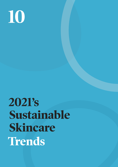<span id="page-41-0"></span>

# **2021's Sustainable Skincare Trends**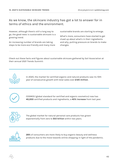#### As we know, the skincare industry has got a lot to answer for in terms of ethics and the environment.

However, although there's still a long way to go, the good news is sustainable skincare is a growing trend.

An increasing number of brands are taking steps to be more eco-friendly and many more sustainable brands are starting to emerge.

What's more, consumers have started to get clued up about what's in their ingredients and why, putting pressure on brands to make changes.

Check out these facts and figures about sustainable skincare gathered by Soil Association at their annual 2021 Trends Summit:



In 2020, the market for certified organic and natural products saw its 10th year of consecutive growth with total sales over **£120 million**.



COSMOS (global standard for certified and organic cosmetics) now has **40,000** certified products and ingredients, a **40% increase** from last year.



The global market for natural personal care products has grown exponentially from zero to **\$12 billion** within two years.



**28%** of consumers are more likely to buy organic beauty and wellness products due to the move towards online shopping in light of the pandemic.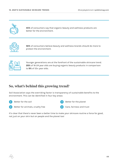

**45%** of consumers say that organic beauty and wellness products are better for the environment.



**56%** of consumers believe beauty and wellness brands should do more to protect the environment.



Younger generations are at the forefront of the sustainable skincare trend. **28%** of 16-24 year olds are buying organic beauty products in comparison to **9%** of 55+ year olds.

#### **So, what's behind this growing trend?**

Soil Association says the overriding factor is transparency of sustainable benefits to the environment. This can be identified in four key areas:



It's clear that there's never been a better time to make your skincare routine a force for good, not just on your skin but on people and the planet too!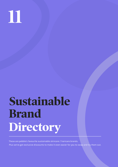<span id="page-44-0"></span>

# **Sustainable Brand Directory**

These are pebble's favourite sustainable skincare / haircare brands. Plus we've got exclusive discounts to make it even easier for you to swap and try them out.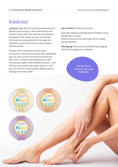### <span id="page-45-0"></span>**KinKind**

[KinKind](https://kinkind.co.uk/) helps British families create positive plastic free change in their bathrooms and makes it easy too. Their award-winning bars are plastic-free, lovely-to-use, handmade in the UK and posted directly through the letterbox so you don't have to worry about delivery times.

Choose from a selection of luxurious moisturiser bars, unisex shave bars bodywash bars as well as hair and skincare products. Each one is easy to use and gives you the results you expect from bottled versions - just without the plastic and water waste. In fact, you can see how many plastic bottles you're saving with every order!

**Hero Product**: Moisturiser bars

Each bar replaces multiple plastic bottles and is packed full of cocoa butter to nourish dry and rough skin on body, hands and feet.

**Packaging**: Minimalist cardboard packaging that fits through your letterbox.

> **Get 10% off at KinKind. Use code PEBBLE10.**

I'm a SOFT tous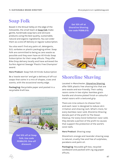## **Soap Folk**

Based in the Stroud Valley on the edge of the Cotswolds, the small team at [Soap Folk](https://soapfolk.com/) make gentle, handmade soap bars and skincare products using the best quality, sustainable, natural and organic ingredients. You can order them as a one-off delivery or regular subscription.

You also won't find any palm oil, detergents, SLS, sorbates or plastic packaging either. Soap Folk are committed to being as zero waste as possible and they even have an All Kinds Soap Subscription for their soap offcuts. They offer Bike Drop delivery locally and have achieved the Surfers Against Sewage 'Plastic Free Champion' award.

**Hero Product**: Soap Folk All Kinds Subscription

Be a 'waste warrior' and get a delivery of off-cut soaps that come in a mix of shapes, sizes and scents, with the occasional wonky edge.

**Packaging:** Recyclable paper and posted in a recyclable Kraft box.



**Get 10% off at Soap Folk. Use code PEBBLE10. One-off discount.**

**Get 10% off at Shoreline Shaving. Use code PEBBLE10.** 



## **Shoreline Shaving**

Located in Manchester, [Shoreline Shaving](https://www.shorelineshaving.com/), offer 100% plastic free shaving kits that are zero waste and eco-friendly. Their safety razors come in two styles: bamboo grain handle and chrome plated finish or colourful metal razors with a textured grip.

There are nine colours to choose from and each razor is designed to reduce skin irritation and shaving rash. What's more, for every bamboo razor sold, Shoreline Shaving donate part of the profit to The Ocean Cleanup. For every Coral Collection razor sold, they donate a portion of the profit to causes that support the protection of the world's coral reefs.

#### **Hero Product**: Shaving soap

Shoreline's orange and lavender shaving soap is natural, cruelty free and free of sulphates, parabens and palm oil.

**Packaging**: Reusable gift box, recycled cardboard and packed with zig zag paper offcuts.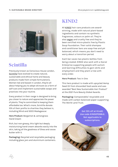<span id="page-47-0"></span>

## **Scintilla**

Previously known as Conscious House London, [Scintilla](https://www.wearescintilla.com/) have evolved to create natural, sustainable and ethical home and beauty products made from simple formulations. Women-led and based in London, they're all about helping you to adopt skincare as a form of self-care and implement sustainable swaps and practices into your routine.

Every product in their range is designed to bring you closer to nature and appreciate the power of plants. They're committed to keeping them affordable too. What's more, Scintilla donate 10% of their profits to charities they believe in, including Mind and SEED Madagascar.

**Hero Product:** Bergamot & Lemongrass Hand Cream

Rich, but non-greasy, this light but deeply moisturising hand cream absorbs easily into the skin, taking all the goodness of Shea and cocoa butter with it.

**Packaging:** Recycled and recyclable packaging including glass jars and aluminium containers.

## **KIND2**

All [KIND2](https://kind2.me/) hair care products are awardwinning, made with natural plant-based ingredients and contain no synthetic fragrances, colours or palm oil. They're also [vegan](#page-16-0) and cruelty free and they've been certified micro-plastic free by Plastic Soup Foundation. Their solid shampoo and conditioner bars are soap-free and pH balanced, which means you don't need to worry about a transition period.

Each bar saves two plastic bottles from being created. KIND2 also work with a Social Enterprise supporting people with autism and learning difficulties to gain skills and employment and they plant a tree with every order.

#### **Hero Product:** Two in One

This hero product is made with upcycled Hemp Seed Oil from discarded food waste and was awarded "Best New Sustainable Hair Product" at the 2021 Pure Beauty Global Awards.

**Packaging:** Compostable/ recyclable and made with carbon balanced paper supporting The World Land Trust.

> **Get 15% off at Kind2. Use code KIND2PEBBLE. Not applicable to subscriptions.**

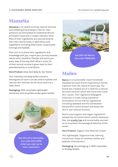### **MamaSia**

[MamaSia](https://www.mama-sia.com/) is an award-winning, natural skincare and wellbeing brand based in the UK. Their products are formulated on traditional African principles fused with a modern Western twist. Most of their ingredients are sourced directly from their family lands in West Africa with ingredients including shea butter, cocoa butter, moringa and baobab.

Their aim is to share their ingredients and knowledge with you, inspire your journey towards nature and a healthier lifestyle and assist you every step of the way (SIA). What's more, 5% of their annual income is given back to their extended family in rural Ghana.

**Hero Product:** Shea Zest Body & Hair Butter

This intensely rich body butter contains lemongrass oil and it can be used to hydrate and nourish skin and hair for 24 hours (skin) to a week (hair).

**Packaging:** 100% recyclable lightweight containers and recyclable amber glass bottles.



**Get 10% off at MamaSia. Use code WELCOME when you sign up to their newsletter.** 



**Get 25% off Maiiro. Use code PEBBLE25.** 

### **Maiiro**

[Maiiro](https://maiiro.com/) is a sustainable, hand-harvested seaweed skincare brand inspired by a family tradition from the island of Guernsey. The brand was created out of a need for a natural skincare solution which did more than mask skin issues. Their signature Kelpogen5 collection is made using a powerful formulation of five marine ingredients including seaweed and the antioxidant Astaxanthin which protect and boost the skin's own natural function.

Maiiro uses organic and vegan ingredients (except the lip salves which contain beeswax) that are [cruelty free](#page-6-0) and sustainably sourced so as to protect the ecological balance of the ocean.

**Hero Product:** Organic Anti-Blemish Cream

This lightweight, fragrance-free, calming moisturiser helps to instantly soothe and hydrate inflamed skin.

**Packaging:** All packaging is 100% recyclable or biodegradable.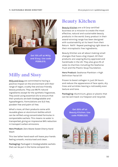

**Get 15% off at Milly and Sissy. Use code PEBBLE15.**

## **Milly and Sissy**

[Milly and Sissy](https://millyandsissy.co.uk/) are committed to having a positive impact on the environment with their range of vegan, cruelty free and eco-friendly beauty products. They use 99.7% natural ingredients except for the synthetic fragrances. They avoid using essential oils to ensure that their products are both biodegradable and hypoallergenic. Formulations are SLS free, paraben free and palm oil free.

What's more, all their products come with reusable glass or aluminium bottles which can be refilled using concentrated formulas in compostable sachets. This means no water is transported, giving an impressive 94% reduction in transport carbon emissions.

**Hero Product:** Zero Waste Sweet Cherry Hand Wash

This low lather hand wash will leave your hands feeling smooth, moisturised and clean.

**Packaging:** Packaged in biodegradable sachets that can be put in the home compost bin.

## **Beauty Kitchen**

[Beauty Kitchen](https://beautykitchen.co.uk/) are a B Corp certified business on a mission to create the most effective, natural and sustainable beauty products in the world. Every product in their award-winning range has been designed with sustainability at its heart from their Return Refill Repeat packaging right down to their microplastic free ingredients.

Beauty Kitchen are all about making small changes that have a big impact. All their products are Leaping Bunny approved and handmade in the UK. They also give 2% of sales to charities including the Seahorse Trust and the Plastic Soup Foundation.

**Hero Product:** Seahorse Plankton + High Definition Facial Oil

Proven to boost collagen in just 24 hours and reduce the appearance of face spots, dry lines and wrinkles leaving a noticeably even texture and tone.

**Packaging:** Aluminium, glass or plastic that can be sent back via freepost and recycled.

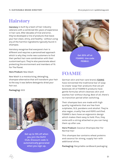## **Hairstory**

[Hairstory](https://www.hairstory.com/) is built by a team of hair industry veterans with a combined 50+ years of experience in hair care. After decades of trial and error, they've developed a line of products that leave your hair clean, shiny, and healthy - without using any of the harmful ingredients typically found in shampoo.

Hairstory recognise that everyone's hair is different and requires a personalised approach which is why they invite new customers to find their perfect hair care combination with their customised quiz. They're also passionate about protecting the environment and members of 1% For The Planet.

#### **Hero Product:** New Wash

New Wash is a moisturising, detangling, shampoo-alternative that will transform your hair to the way it was before detergents dried your hair out.

#### **Packaging:** XXX



**Get up to 15% off when you join the Refill Club. Discount code is automatically generated when you sign up.** 



**Get 20% off at FOAMIE. Use code PEBBLE.** 

## **FOAMIE**

German skin and hair care brand, [FOAMIE](https://www.foamie.co.uk/) have reinvented the traditional bar of soap to create 'soap-free' products that are pH balanced. All of FOAMIE'S products have gentle formulas which cleanses skin and washes hair without drying. Best of all, there's no transition period when switching.

Their shampoo bars are made with high quality ingredients that are free from sulphates, SLS, parabens and alcohol. They're also vegan, cruelty free and RSPO certified. FOAMIE's bars have an ergonomic design which makes them easy to hold. Plus, they come with a string attached so you can hang them up after use.

**Hero Product:** Coconut Shampoo Bar For Normal Hair

This shampoo bar contains wheat proteins and coconut for strong, supply hair with additional shine.

**Packaging:** Recyclable cardboard packaging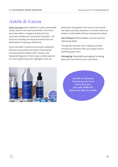### **Astris & Green**

[Astris & Green](https://www.astrisandgreen.co.uk/) was created to make sustainable swaps easier and more accessible. The online eco store offers a range of products from skincare to bathroom essentials and gifts - all from eco-friendly and ethical brands that are dedicated to making a difference.

Astris & Green's extensive skincare collection features top quality and plastic free brands including White Rabbit, Salt + Steam and Heavenly Organics. There's also a whole section on men's grooming with highlights such as

beard oils and plastic free razors. Each brand has been carefully selected in line with Astris & Green's sustainable, ethical and positive ethos.

**Hero Product:** White Rabbit Lime & Coconut Cleansing Water

This gentle cleanser and makeup remover removes oil and dirt from your pores whilst hydrating your skin.

**Packaging:** Recyclable packaging including glass jars and aluminium containers.



**Get 15% off skincare (including men's) at Astris & Green. Use code PEBBLE15. Valid until 30th June 2021.**